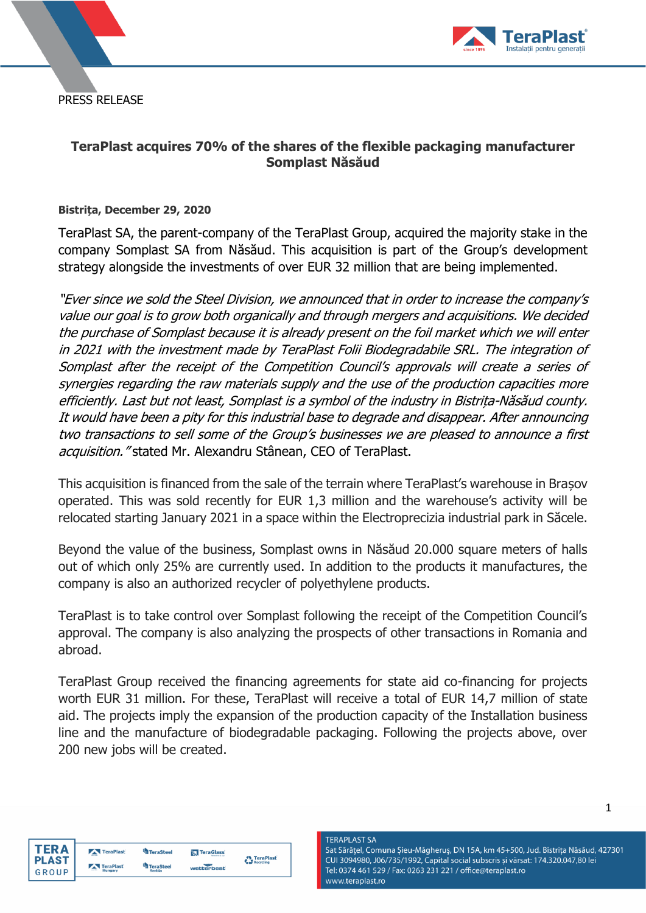PRESS RELEASE



# **TeraPlast acquires 70% of the shares of the flexible packaging manufacturer Somplast Năsăud**

## **Bistrița, December 29, 2020**

TeraPlast SA, the parent-company of the TeraPlast Group, acquired the majority stake in the company Somplast SA from Năsăud. This acquisition is part of the Group's development strategy alongside the investments of over EUR 32 million that are being implemented.

"Ever since we sold the Steel Division, we announced that in order to increase the company's value our goal is to grow both organically and through mergers and acquisitions. We decided the purchase of Somplast because it is already present on the foil market which we will enter in 2021 with the investment made by TeraPlast Folii Biodegradabile SRL. The integration of Somplast after the receipt of the Competition Council's approvals will create a series of synergies regarding the raw materials supply and the use of the production capacities more efficiently. Last but not least, Somplast is a symbol of the industry in Bistrița-Năsăud county. It would have been a pity for this industrial base to degrade and disappear. After announcing two transactions to sell some of the Group's businesses we are pleased to announce a first acquisition." stated Mr. Alexandru Stânean, CEO of TeraPlast.

This acquisition is financed from the sale of the terrain where TeraPlast's warehouse in Brașov operated. This was sold recently for EUR 1,3 million and the warehouse's activity will be relocated starting January 2021 in a space within the Electroprecizia industrial park in Săcele.

Beyond the value of the business, Somplast owns in Năsăud 20.000 square meters of halls out of which only 25% are currently used. In addition to the products it manufactures, the company is also an authorized recycler of polyethylene products.

TeraPlast is to take control over Somplast following the receipt of the Competition Council's approval. The company is also analyzing the prospects of other transactions in Romania and abroad.

TeraPlast Group received the financing agreements for state aid co-financing for projects worth EUR 31 million. For these, TeraPlast will receive a total of EUR 14,7 million of state aid. The projects imply the expansion of the production capacity of the Installation business line and the manufacture of biodegradable packaging. Following the projects above, over 200 new jobs will be created.

TeraPlast<br>
Recycling